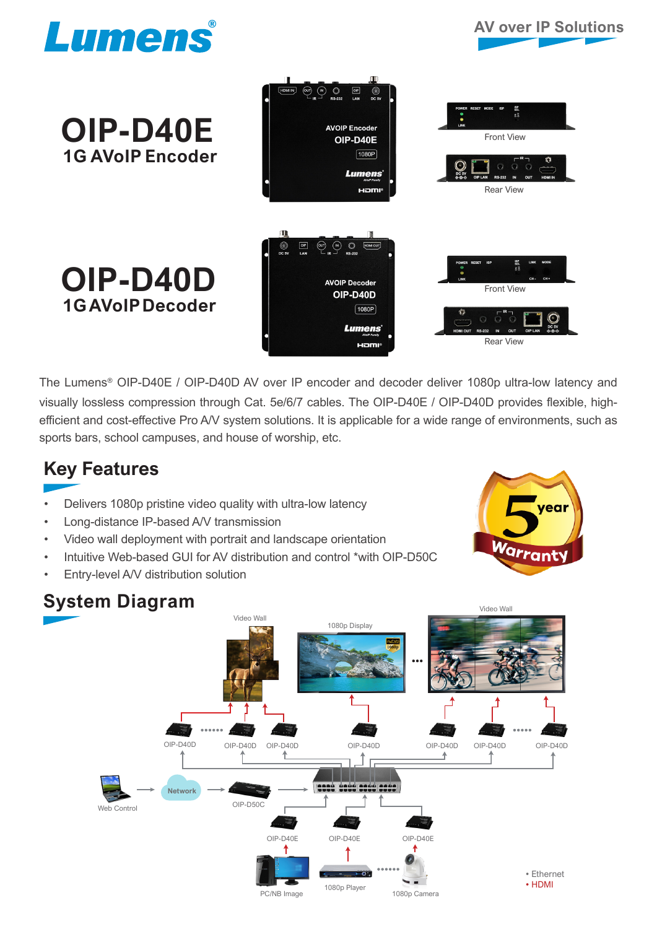

**OIP-D40E**

 **1G AVoIP Encoder**

**OIP-D40D**

 **1G AVoIP Decoder**

## **AV over IP Solutions**



The Lumens® OIP-D40E / OIP-D40D AV over IP encoder and decoder deliver 1080p ultra-low latency and visually lossless compression through Cat. 5e/6/7 cables. The OIP-D40E / OIP-D40D provides flexible, highefficient and cost-effective Pro A/V system solutions. It is applicable for a wide range of environments, such as sports bars, school campuses, and house of worship, etc.

## **Key Features**

- Delivers 1080p pristine video quality with ultra-low latency
- Long-distance IP-based A/V transmission
- Video wall deployment with portrait and landscape orientation
- Intuitive Web-based GUI for AV distribution and control \*with OIP-D50C
- Entry-level A/V distribution solution



## **System Diagram**